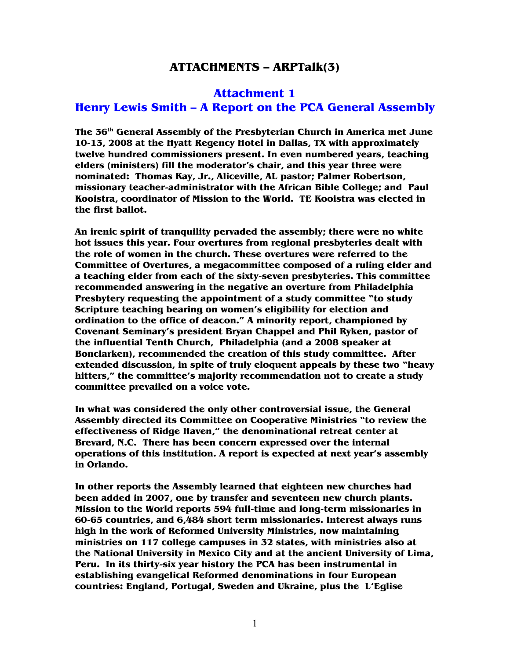## **ATTACHMENTS – ARPTalk(3)**

### **Attachment 1**

## **Henry Lewis Smith – A Report on the PCA General Assembly**

**The 36th General Assembly of the Presbyterian Church in America met June 10-13, 2008 at the Hyatt Regency Hotel in Dallas, TX with approximately twelve hundred commissioners present. In even numbered years, teaching elders (ministers) fill the moderator's chair, and this year three were nominated: Thomas Kay, Jr., Aliceville, AL pastor; Palmer Robertson, missionary teacher-administrator with the African Bible College; and Paul Kooistra, coordinator of Mission to the World. TE Kooistra was elected in the first ballot.** 

**An irenic spirit of tranquility pervaded the assembly; there were no white hot issues this year. Four overtures from regional presbyteries dealt with the role of women in the church. These overtures were referred to the Committee of Overtures, a megacommittee composed of a ruling elder and a teaching elder from each of the sixty-seven presbyteries. This committee recommended answering in the negative an overture from Philadelphia Presbytery requesting the appointment of a study committee "to study Scripture teaching bearing on women's eligibility for election and ordination to the office of deacon." A minority report, championed by Covenant Seminary's president Bryan Chappel and Phil Ryken, pastor of the influential Tenth Church, Philadelphia (and a 2008 speaker at Bonclarken), recommended the creation of this study committee. After extended discussion, in spite of truly eloquent appeals by these two "heavy hitters," the committee's majority recommendation not to create a study committee prevailed on a voice vote.** 

**In what was considered the only other controversial issue, the General Assembly directed its Committee on Cooperative Ministries "to review the effectiveness of Ridge Haven," the denominational retreat center at Brevard, N.C. There has been concern expressed over the internal operations of this institution. A report is expected at next year's assembly in Orlando.** 

**In other reports the Assembly learned that eighteen new churches had been added in 2007, one by transfer and seventeen new church plants. Mission to the World reports 594 full-time and long-term missionaries in 60-65 countries, and 6,484 short term missionaries. Interest always runs high in the work of Reformed University Ministries, now maintaining ministries on 117 college campuses in 32 states, with ministries also at the National University in Mexico City and at the ancient University of Lima, Peru. In its thirty-six year history the PCA has been instrumental in establishing evangelical Reformed denominations in four European countries: England, Portugal, Sweden and Ukraine, plus the L'Eglise**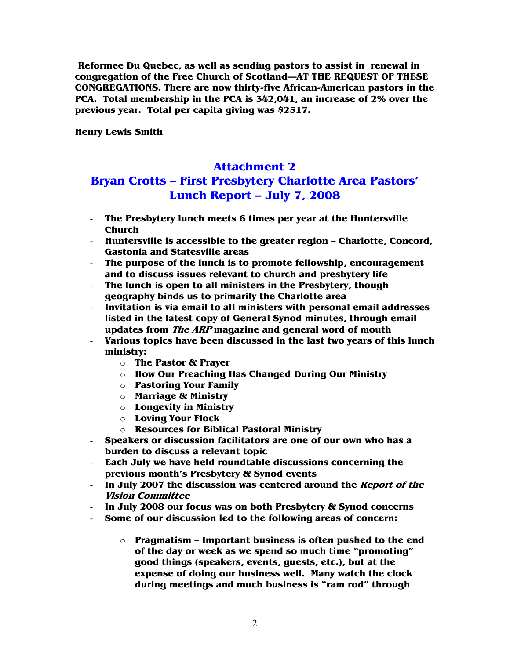**Reformee Du Quebec, as well as sending pastors to assist in renewal in congregation of the Free Church of Scotland—AT THE REQUEST OF THESE CONGREGATIONS. There are now thirty-five African-American pastors in the PCA. Total membership in the PCA is 342,041, an increase of 2% over the previous year. Total per capita giving was \$2517.** 

**Henry Lewis Smith** 

## **Attachment 2**

# **Bryan Crotts – First Presbytery Charlotte Area Pastors' Lunch Report – July 7, 2008**

- **The Presbytery lunch meets 6 times per year at the Huntersville Church**
- **Huntersville is accessible to the greater region Charlotte, Concord, Gastonia and Statesville areas**
- **The purpose of the lunch is to promote fellowship, encouragement and to discuss issues relevant to church and presbytery life**
- **The lunch is open to all ministers in the Presbytery, though geography binds us to primarily the Charlotte area**
- **Invitation is via email to all ministers with personal email addresses listed in the latest copy of General Synod minutes, through email updates from The ARP magazine and general word of mouth**
- **Various topics have been discussed in the last two years of this lunch ministry:** 
	- o **The Pastor & Prayer**
	- o **How Our Preaching Has Changed During Our Ministry**
	- o **Pastoring Your Family**
	- o **Marriage & Ministry**
	- o **Longevity in Ministry**
	- o **Loving Your Flock**
	- o **Resources for Biblical Pastoral Ministry**
- **Speakers or discussion facilitators are one of our own who has a burden to discuss a relevant topic**
- **Each July we have held roundtable discussions concerning the previous month's Presbytery & Synod events**
- **In July 2007 the discussion was centered around the Report of the Vision Committee**
- **In July 2008 our focus was on both Presbytery & Synod concerns**
- **Some of our discussion led to the following areas of concern:** 
	- o **Pragmatism Important business is often pushed to the end of the day or week as we spend so much time "promoting" good things (speakers, events, guests, etc.), but at the expense of doing our business well. Many watch the clock during meetings and much business is "ram rod" through**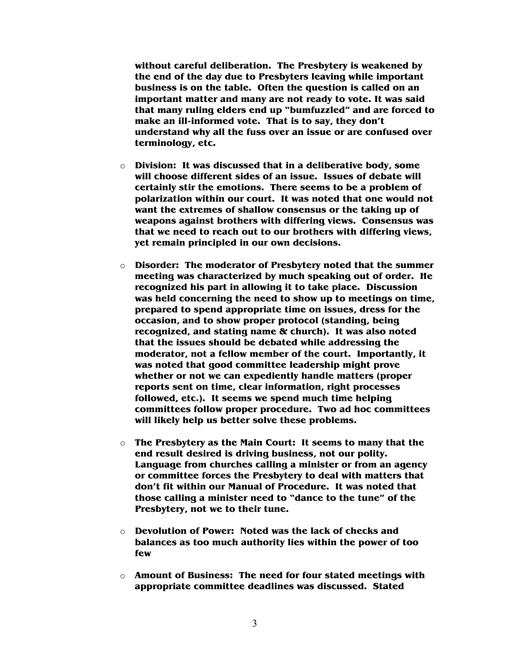**without careful deliberation. The Presbytery is weakened by the end of the day due to Presbyters leaving while important business is on the table. Often the question is called on an important matter and many are not ready to vote. It was said that many ruling elders end up "bumfuzzled" and are forced to make an ill-informed vote. That is to say, they don't understand why all the fuss over an issue or are confused over terminology, etc.** 

- o **Division: It was discussed that in a deliberative body, some will choose different sides of an issue. Issues of debate will certainly stir the emotions. There seems to be a problem of polarization within our court. It was noted that one would not want the extremes of shallow consensus or the taking up of weapons against brothers with differing views. Consensus was that we need to reach out to our brothers with differing views, yet remain principled in our own decisions.**
- o **Disorder: The moderator of Presbytery noted that the summer meeting was characterized by much speaking out of order. He recognized his part in allowing it to take place. Discussion was held concerning the need to show up to meetings on time, prepared to spend appropriate time on issues, dress for the occasion, and to show proper protocol (standing, being recognized, and stating name & church). It was also noted that the issues should be debated while addressing the moderator, not a fellow member of the court. Importantly, it was noted that good committee leadership might prove whether or not we can expediently handle matters (proper reports sent on time, clear information, right processes followed, etc.). It seems we spend much time helping committees follow proper procedure. Two ad hoc committees will likely help us better solve these problems.**
- o **The Presbytery as the Main Court: It seems to many that the end result desired is driving business, not our polity. Language from churches calling a minister or from an agency or committee forces the Presbytery to deal with matters that don't fit within our Manual of Procedure. It was noted that those calling a minister need to "dance to the tune" of the Presbytery, not we to their tune.**
- o **Devolution of Power: Noted was the lack of checks and balances as too much authority lies within the power of too few**
- o **Amount of Business: The need for four stated meetings with appropriate committee deadlines was discussed. Stated**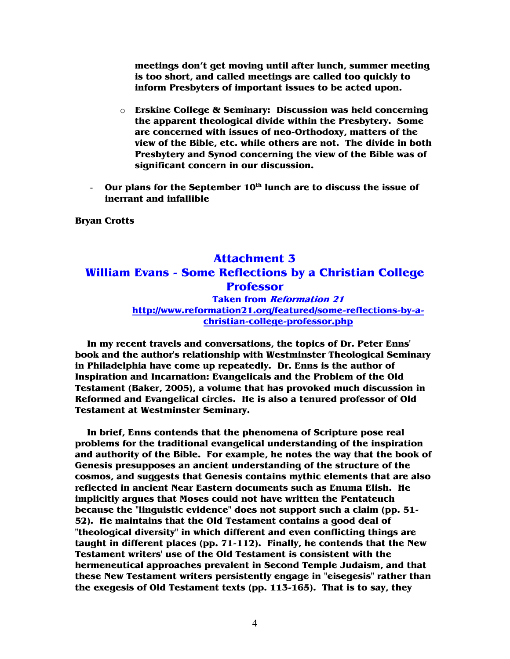**meetings don't get moving until after lunch, summer meeting is too short, and called meetings are called too quickly to inform Presbyters of important issues to be acted upon.** 

- o **Erskine College & Seminary: Discussion was held concerning the apparent theological divide within the Presbytery. Some are concerned with issues of neo-Orthodoxy, matters of the view of the Bible, etc. while others are not. The divide in both Presbytery and Synod concerning the view of the Bible was of significant concern in our discussion.**
- **Our plans for the September 10th lunch are to discuss the issue of inerrant and infallible**

**Bryan Crotts** 

## **Attachment 3 William Evans - Some Reflections by a Christian College Professor Taken from Reformation 21**

### **http://www.reformation21.org/featured/some-reflections-by-achristian-college-professor.php**

 **In my recent travels and conversations, the topics of Dr. Peter Enns' book and the author's relationship with Westminster Theological Seminary in Philadelphia have come up repeatedly. Dr. Enns is the author of Inspiration and Incarnation: Evangelicals and the Problem of the Old Testament (Baker, 2005), a volume that has provoked much discussion in Reformed and Evangelical circles. He is also a tenured professor of Old Testament at Westminster Seminary.** 

 **In brief, Enns contends that the phenomena of Scripture pose real problems for the traditional evangelical understanding of the inspiration and authority of the Bible. For example, he notes the way that the book of Genesis presupposes an ancient understanding of the structure of the cosmos, and suggests that Genesis contains mythic elements that are also reflected in ancient Near Eastern documents such as Enuma Elish. He implicitly argues that Moses could not have written the Pentateuch because the "linguistic evidence" does not support such a claim (pp. 51- 52). He maintains that the Old Testament contains a good deal of "theological diversity" in which different and even conflicting things are taught in different places (pp. 71-112). Finally, he contends that the New Testament writers' use of the Old Testament is consistent with the hermeneutical approaches prevalent in Second Temple Judaism, and that these New Testament writers persistently engage in "eisegesis" rather than the exegesis of Old Testament texts (pp. 113-165). That is to say, they**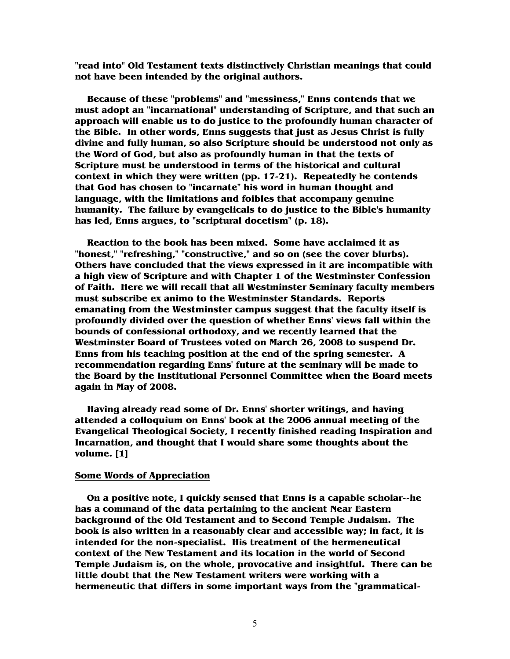**"read into" Old Testament texts distinctively Christian meanings that could not have been intended by the original authors.** 

 **Because of these "problems" and "messiness," Enns contends that we must adopt an "incarnational" understanding of Scripture, and that such an approach will enable us to do justice to the profoundly human character of the Bible. In other words, Enns suggests that just as Jesus Christ is fully divine and fully human, so also Scripture should be understood not only as the Word of God, but also as profoundly human in that the texts of Scripture must be understood in terms of the historical and cultural context in which they were written (pp. 17-21). Repeatedly he contends that God has chosen to "incarnate" his word in human thought and language, with the limitations and foibles that accompany genuine humanity. The failure by evangelicals to do justice to the Bible's humanity has led, Enns argues, to "scriptural docetism" (p. 18).** 

 **Reaction to the book has been mixed. Some have acclaimed it as "honest," "refreshing," "constructive," and so on (see the cover blurbs). Others have concluded that the views expressed in it are incompatible with a high view of Scripture and with Chapter 1 of the Westminster Confession of Faith. Here we will recall that all Westminster Seminary faculty members must subscribe ex animo to the Westminster Standards. Reports emanating from the Westminster campus suggest that the faculty itself is profoundly divided over the question of whether Enns' views fall within the bounds of confessional orthodoxy, and we recently learned that the Westminster Board of Trustees voted on March 26, 2008 to suspend Dr. Enns from his teaching position at the end of the spring semester. A recommendation regarding Enns' future at the seminary will be made to the Board by the Institutional Personnel Committee when the Board meets again in May of 2008.** 

 **Having already read some of Dr. Enns' shorter writings, and having attended a colloquium on Enns' book at the 2006 annual meeting of the Evangelical Theological Society, I recently finished reading Inspiration and Incarnation, and thought that I would share some thoughts about the volume. [1]** 

### **Some Words of Appreciation**

 **On a positive note, I quickly sensed that Enns is a capable scholar--he has a command of the data pertaining to the ancient Near Eastern background of the Old Testament and to Second Temple Judaism. The book is also written in a reasonably clear and accessible way; in fact, it is intended for the non-specialist. His treatment of the hermeneutical context of the New Testament and its location in the world of Second Temple Judaism is, on the whole, provocative and insightful. There can be little doubt that the New Testament writers were working with a hermeneutic that differs in some important ways from the "grammatical-**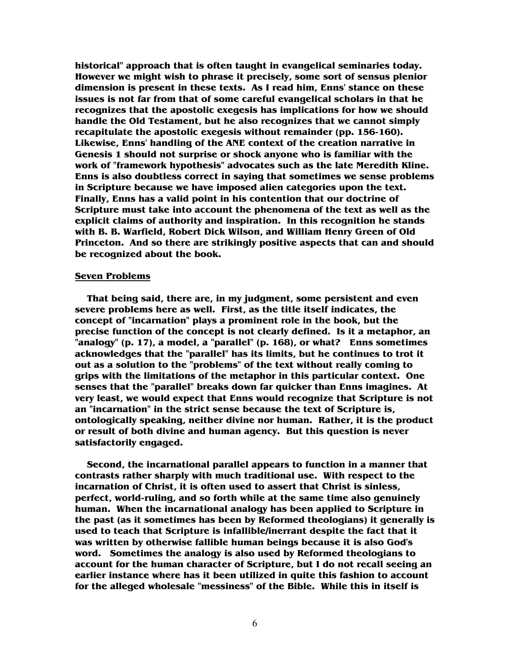**historical" approach that is often taught in evangelical seminaries today. However we might wish to phrase it precisely, some sort of sensus plenior dimension is present in these texts. As I read him, Enns' stance on these issues is not far from that of some careful evangelical scholars in that he recognizes that the apostolic exegesis has implications for how we should handle the Old Testament, but he also recognizes that we cannot simply recapitulate the apostolic exegesis without remainder (pp. 156-160). Likewise, Enns' handling of the ANE context of the creation narrative in Genesis 1 should not surprise or shock anyone who is familiar with the work of "framework hypothesis" advocates such as the late Meredith Kline. Enns is also doubtless correct in saying that sometimes we sense problems in Scripture because we have imposed alien categories upon the text. Finally, Enns has a valid point in his contention that our doctrine of Scripture must take into account the phenomena of the text as well as the explicit claims of authority and inspiration. In this recognition he stands with B. B. Warfield, Robert Dick Wilson, and William Henry Green of Old Princeton. And so there are strikingly positive aspects that can and should be recognized about the book.** 

#### **Seven Problems**

 **That being said, there are, in my judgment, some persistent and even severe problems here as well. First, as the title itself indicates, the concept of "incarnation" plays a prominent role in the book, but the precise function of the concept is not clearly defined. Is it a metaphor, an "analogy" (p. 17), a model, a "parallel" (p. 168), or what? Enns sometimes acknowledges that the "parallel" has its limits, but he continues to trot it out as a solution to the "problems" of the text without really coming to grips with the limitations of the metaphor in this particular context. One senses that the "parallel" breaks down far quicker than Enns imagines. At very least, we would expect that Enns would recognize that Scripture is not an "incarnation" in the strict sense because the text of Scripture is, ontologically speaking, neither divine nor human. Rather, it is the product or result of both divine and human agency. But this question is never satisfactorily engaged.** 

 **Second, the incarnational parallel appears to function in a manner that contrasts rather sharply with much traditional use. With respect to the incarnation of Christ, it is often used to assert that Christ is sinless, perfect, world-ruling, and so forth while at the same time also genuinely human. When the incarnational analogy has been applied to Scripture in the past (as it sometimes has been by Reformed theologians) it generally is used to teach that Scripture is infallible/inerrant despite the fact that it was written by otherwise fallible human beings because it is also God's word. Sometimes the analogy is also used by Reformed theologians to account for the human character of Scripture, but I do not recall seeing an earlier instance where has it been utilized in quite this fashion to account for the alleged wholesale "messiness" of the Bible. While this in itself is**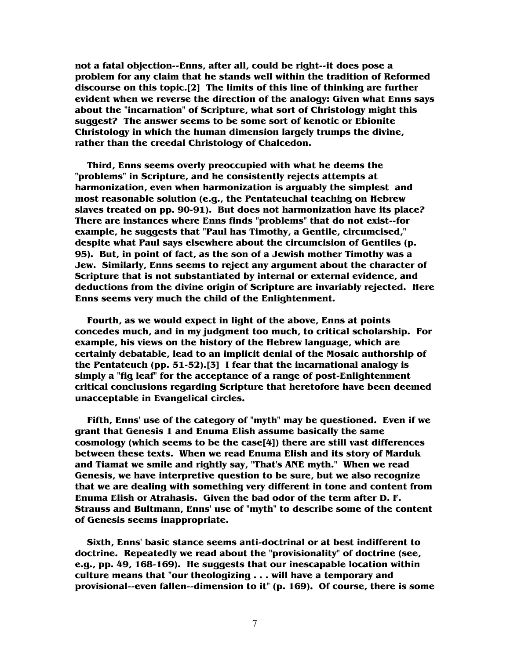**not a fatal objection--Enns, after all, could be right--it does pose a problem for any claim that he stands well within the tradition of Reformed discourse on this topic.[2] The limits of this line of thinking are further evident when we reverse the direction of the analogy: Given what Enns says about the "incarnation" of Scripture, what sort of Christology might this suggest? The answer seems to be some sort of kenotic or Ebionite Christology in which the human dimension largely trumps the divine, rather than the creedal Christology of Chalcedon.** 

 **Third, Enns seems overly preoccupied with what he deems the "problems" in Scripture, and he consistently rejects attempts at harmonization, even when harmonization is arguably the simplest and most reasonable solution (e.g., the Pentateuchal teaching on Hebrew slaves treated on pp. 90-91). But does not harmonization have its place? There are instances where Enns finds "problems" that do not exist--for example, he suggests that "Paul has Timothy, a Gentile, circumcised," despite what Paul says elsewhere about the circumcision of Gentiles (p. 95). But, in point of fact, as the son of a Jewish mother Timothy was a Jew. Similarly, Enns seems to reject any argument about the character of Scripture that is not substantiated by internal or external evidence, and deductions from the divine origin of Scripture are invariably rejected. Here Enns seems very much the child of the Enlightenment.** 

 **Fourth, as we would expect in light of the above, Enns at points concedes much, and in my judgment too much, to critical scholarship. For example, his views on the history of the Hebrew language, which are certainly debatable, lead to an implicit denial of the Mosaic authorship of the Pentateuch (pp. 51-52).[3] I fear that the incarnational analogy is simply a "fig leaf" for the acceptance of a range of post-Enlightenment critical conclusions regarding Scripture that heretofore have been deemed unacceptable in Evangelical circles.** 

 **Fifth, Enns' use of the category of "myth" may be questioned. Even if we grant that Genesis 1 and Enuma Elish assume basically the same cosmology (which seems to be the case[4]) there are still vast differences between these texts. When we read Enuma Elish and its story of Marduk and Tiamat we smile and rightly say, "That's ANE myth." When we read Genesis, we have interpretive question to be sure, but we also recognize that we are dealing with something very different in tone and content from Enuma Elish or Atrahasis. Given the bad odor of the term after D. F. Strauss and Bultmann, Enns' use of "myth" to describe some of the content of Genesis seems inappropriate.** 

 **Sixth, Enns' basic stance seems anti-doctrinal or at best indifferent to doctrine. Repeatedly we read about the "provisionality" of doctrine (see, e.g., pp. 49, 168-169). He suggests that our inescapable location within culture means that "our theologizing . . . will have a temporary and provisional--even fallen--dimension to it" (p. 169). Of course, there is some**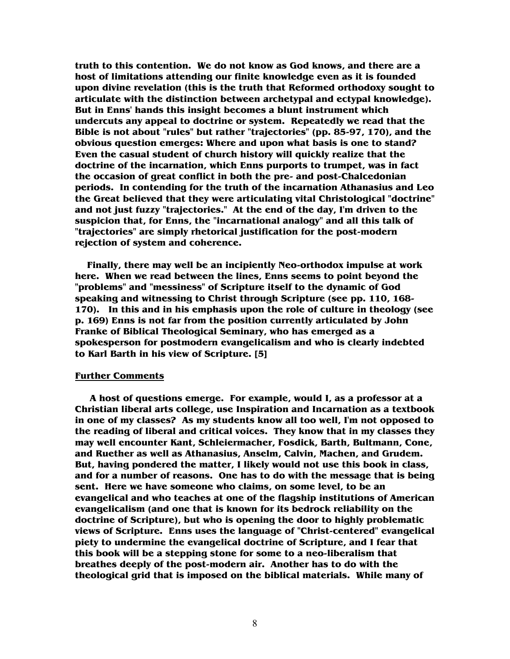**truth to this contention. We do not know as God knows, and there are a host of limitations attending our finite knowledge even as it is founded upon divine revelation (this is the truth that Reformed orthodoxy sought to articulate with the distinction between archetypal and ectypal knowledge). But in Enns' hands this insight becomes a blunt instrument which undercuts any appeal to doctrine or system. Repeatedly we read that the Bible is not about "rules" but rather "trajectories" (pp. 85-97, 170), and the obvious question emerges: Where and upon what basis is one to stand? Even the casual student of church history will quickly realize that the doctrine of the incarnation, which Enns purports to trumpet, was in fact the occasion of great conflict in both the pre- and post-Chalcedonian periods. In contending for the truth of the incarnation Athanasius and Leo the Great believed that they were articulating vital Christological "doctrine" and not just fuzzy "trajectories." At the end of the day, I'm driven to the suspicion that, for Enns, the "incarnational analogy" and all this talk of "trajectories" are simply rhetorical justification for the post-modern rejection of system and coherence.** 

 **Finally, there may well be an incipiently Neo-orthodox impulse at work here. When we read between the lines, Enns seems to point beyond the "problems" and "messiness" of Scripture itself to the dynamic of God speaking and witnessing to Christ through Scripture (see pp. 110, 168- 170). In this and in his emphasis upon the role of culture in theology (see p. 169) Enns is not far from the position currently articulated by John Franke of Biblical Theological Seminary, who has emerged as a spokesperson for postmodern evangelicalism and who is clearly indebted to Karl Barth in his view of Scripture. [5]** 

#### **Further Comments**

 **A host of questions emerge. For example, would I, as a professor at a Christian liberal arts college, use Inspiration and Incarnation as a textbook in one of my classes? As my students know all too well, I'm not opposed to the reading of liberal and critical voices. They know that in my classes they may well encounter Kant, Schleiermacher, Fosdick, Barth, Bultmann, Cone, and Ruether as well as Athanasius, Anselm, Calvin, Machen, and Grudem. But, having pondered the matter, I likely would not use this book in class, and for a number of reasons. One has to do with the message that is being sent. Here we have someone who claims, on some level, to be an evangelical and who teaches at one of the flagship institutions of American evangelicalism (and one that is known for its bedrock reliability on the doctrine of Scripture), but who is opening the door to highly problematic views of Scripture. Enns uses the language of "Christ-centered" evangelical piety to undermine the evangelical doctrine of Scripture, and I fear that this book will be a stepping stone for some to a neo-liberalism that breathes deeply of the post-modern air. Another has to do with the theological grid that is imposed on the biblical materials. While many of**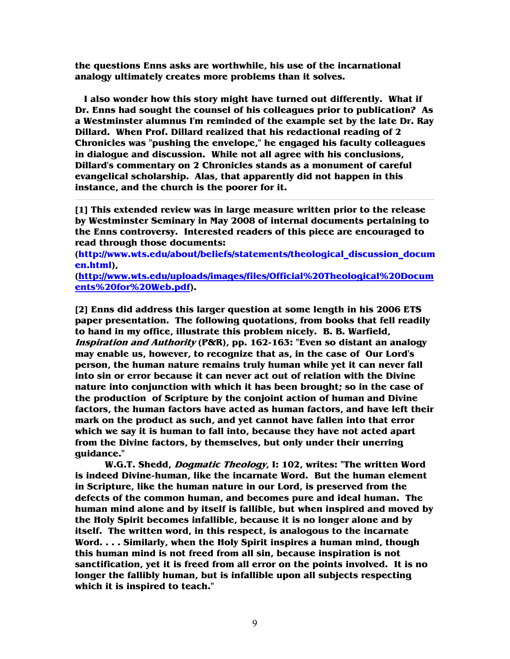**the questions Enns asks are worthwhile, his use of the incarnational analogy ultimately creates more problems than it solves.** 

 **I also wonder how this story might have turned out differently. What if Dr. Enns had sought the counsel of his colleagues prior to publication? As a Westminster alumnus I'm reminded of the example set by the late Dr. Ray Dillard. When Prof. Dillard realized that his redactional reading of 2 Chronicles was "pushing the envelope," he engaged his faculty colleagues in dialogue and discussion. While not all agree with his conclusions, Dillard's commentary on 2 Chronicles stands as a monument of careful evangelical scholarship. Alas, that apparently did not happen in this instance, and the church is the poorer for it.** 

**[1] This extended review was in large measure written prior to the release by Westminster Seminary in May 2008 of internal documents pertaining to the Enns controversy. Interested readers of this piece are encouraged to read through those documents:** 

**(http://www.wts.edu/about/beliefs/statements/theological\_discussion\_docum en.html),** 

**(http://www.wts.edu/uploads/images/files/Official%20Theological%20Docum ents%20for%20Web.pdf).** 

**[2] Enns did address this larger question at some length in his 2006 ETS paper presentation. The following quotations, from books that fell readily to hand in my office, illustrate this problem nicely. B. B. Warfield, Inspiration and Authority (P&R), pp. 162-163: "Even so distant an analogy may enable us, however, to recognize that as, in the case of Our Lord's person, the human nature remains truly human while yet it can never fall into sin or error because it can never act out of relation with the Divine nature into conjunction with which it has been brought; so in the case of the production of Scripture by the conjoint action of human and Divine factors, the human factors have acted as human factors, and have left their mark on the product as such, and yet cannot have fallen into that error which we say it is human to fall into, because they have not acted apart from the Divine factors, by themselves, but only under their unerring guidance."** 

**W.G.T. Shedd, Dogmatic Theology, I: 102, writes: "The written Word is indeed Divine-human, like the incarnate Word. But the human element in Scripture, like the human nature in our Lord, is preserved from the defects of the common human, and becomes pure and ideal human. The human mind alone and by itself is fallible, but when inspired and moved by the Holy Spirit becomes infallible, because it is no longer alone and by itself. The written word, in this respect, is analogous to the incarnate Word. . . . Similarly, when the Holy Spirit inspires a human mind, though this human mind is not freed from all sin, because inspiration is not sanctification, yet it is freed from all error on the points involved. It is no longer the fallibly human, but is infallible upon all subjects respecting which it is inspired to teach."**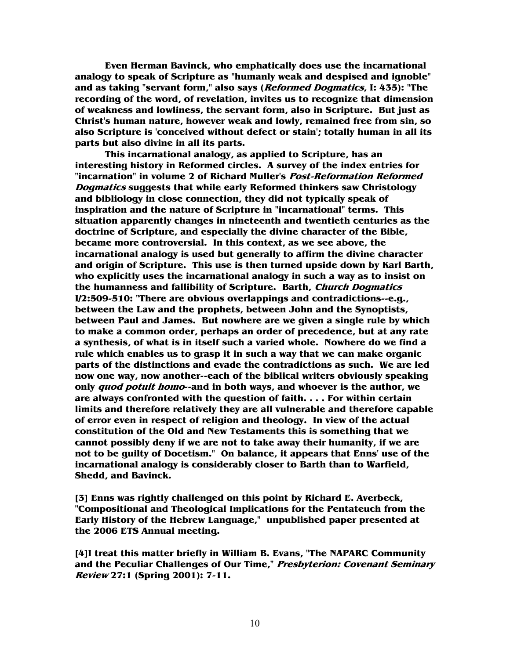**Even Herman Bavinck, who emphatically does use the incarnational analogy to speak of Scripture as "humanly weak and despised and ignoble" and as taking "servant form," also says (Reformed Dogmatics, I: 435): "The recording of the word, of revelation, invites us to recognize that dimension of weakness and lowliness, the servant form, also in Scripture. But just as Christ's human nature, however weak and lowly, remained free from sin, so also Scripture is 'conceived without defect or stain'; totally human in all its parts but also divine in all its parts.** 

**This incarnational analogy, as applied to Scripture, has an interesting history in Reformed circles. A survey of the index entries for "incarnation" in volume 2 of Richard Muller's Post-Reformation Reformed Dogmatics suggests that while early Reformed thinkers saw Christology and bibliology in close connection, they did not typically speak of inspiration and the nature of Scripture in "incarnational" terms. This situation apparently changes in nineteenth and twentieth centuries as the doctrine of Scripture, and especially the divine character of the Bible, became more controversial. In this context, as we see above, the incarnational analogy is used but generally to affirm the divine character and origin of Scripture. This use is then turned upside down by Karl Barth, who explicitly uses the incarnational analogy in such a way as to insist on the humanness and fallibility of Scripture. Barth, Church Dogmatics I/2:509-510: "There are obvious overlappings and contradictions--e.g., between the Law and the prophets, between John and the Synoptists, between Paul and James. But nowhere are we given a single rule by which to make a common order, perhaps an order of precedence, but at any rate a synthesis, of what is in itself such a varied whole. Nowhere do we find a rule which enables us to grasp it in such a way that we can make organic parts of the distinctions and evade the contradictions as such. We are led now one way, now another--each of the biblical writers obviously speaking only quod potuit homo--and in both ways, and whoever is the author, we are always confronted with the question of faith. . . . For within certain limits and therefore relatively they are all vulnerable and therefore capable of error even in respect of religion and theology. In view of the actual constitution of the Old and New Testaments this is something that we cannot possibly deny if we are not to take away their humanity, if we are not to be guilty of Docetism." On balance, it appears that Enns' use of the incarnational analogy is considerably closer to Barth than to Warfield, Shedd, and Bavinck.** 

**[3] Enns was rightly challenged on this point by Richard E. Averbeck, "Compositional and Theological Implications for the Pentateuch from the Early History of the Hebrew Language," unpublished paper presented at the 2006 ETS Annual meeting.** 

**[4]I treat this matter briefly in William B. Evans, "The NAPARC Community and the Peculiar Challenges of Our Time," Presbyterion: Covenant Seminary Review 27:1 (Spring 2001): 7-11.**